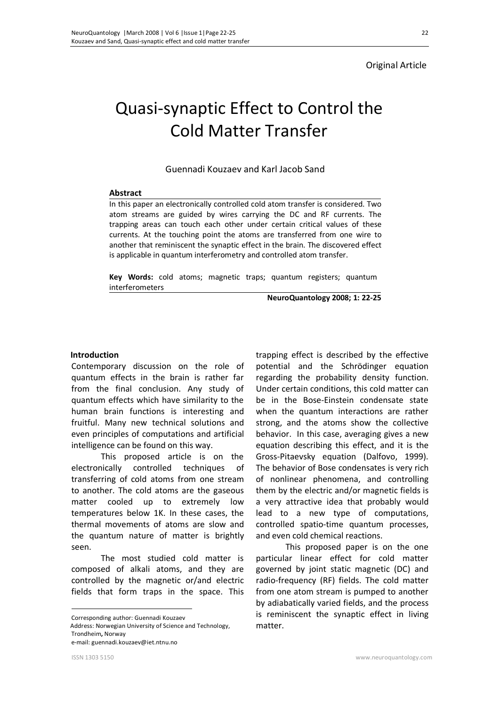## Original Article

# Quasi-synaptic Effect to Control the Cold Matter Transfer

Guennadi Kouzaev and Karl Jacob Sand

## **Abstract**

In this paper an electronically controlled cold atom transfer is considered. Two atom streams are guided by wires carrying the DC and RF currents. The trapping areas can touch each other under certain critical values of these currents. At the touching point the atoms are transferred from one wire to another that reminiscent the synaptic effect in the brain. The discovered effect is applicable in quantum interferometry and controlled atom transfer.

**Key Words:** cold atoms; magnetic traps; quantum registers; quantum interferometers

**NeuroQuantology 2008; 1: 22-25**

## **Introduction**

Contemporary discussion on the role of quantum effects in the brain is rather far from the final conclusion. Any study of quantum effects which have similarity to the human brain functions is interesting and fruitful. Many new technical solutions and even principles of computations and artificial intelligence can be found on this way.

This proposed article is on the electronically controlled techniques of transferring of cold atoms from one stream to another. The cold atoms are the gaseous matter cooled up to extremely low temperatures below 1K. In these cases, the thermal movements of atoms are slow and the quantum nature of matter is brightly seen.

The most studied cold matter is composed of alkali atoms, and they are controlled by the magnetic or/and electric fields that form traps in the space. This

Corresponding author: Guennadi Kouzaev

 Address: Norwegian University of Science and Technology, Trondheim**,** Norway

e-mail: guennadi.kouzaev@iet.ntnu.no

trapping effect is described by the effective potential and the Schrödinger equation regarding the probability density function. Under certain conditions, this cold matter can be in the Bose-Einstein condensate state when the quantum interactions are rather strong, and the atoms show the collective behavior. In this case, averaging gives a new equation describing this effect, and it is the Gross-Pitaevsky equation (Dalfovo, 1999). The behavior of Bose condensates is very rich of nonlinear phenomena, and controlling them by the electric and/or magnetic fields is a very attractive idea that probably would lead to a new type of computations, controlled spatio-time quantum processes, and even cold chemical reactions.

This proposed paper is on the one particular linear effect for cold matter governed by joint static magnetic (DC) and radio-frequency (RF) fields. The cold matter from one atom stream is pumped to another by adiabatically varied fields, and the process is reminiscent the synaptic effect in living matter.

 $\overline{a}$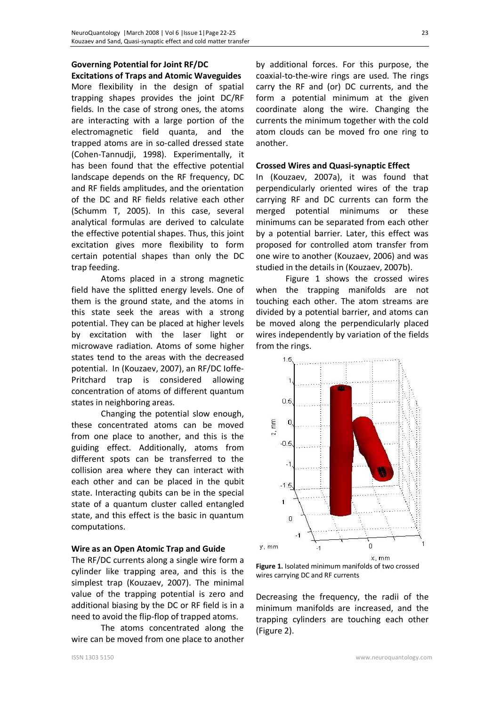## **Governing Potential for Joint RF/DC**

**Excitations of Traps and Atomic Waveguides**  More flexibility in the design of spatial trapping shapes provides the joint DC/RF fields. In the case of strong ones, the atoms are interacting with a large portion of the electromagnetic field quanta, and the trapped atoms are in so-called dressed state (Cohen-Tannudji, 1998). Experimentally, it has been found that the effective potential landscape depends on the RF frequency, DC and RF fields amplitudes, and the orientation of the DC and RF fields relative each other (Schumm T, 2005). In this case, several analytical formulas are derived to calculate the effective potential shapes. Thus, this joint excitation gives more flexibility to form certain potential shapes than only the DC trap feeding.

Atoms placed in a strong magnetic field have the splitted energy levels. One of them is the ground state, and the atoms in this state seek the areas with a strong potential. They can be placed at higher levels by excitation with the laser light or microwave radiation. Atoms of some higher states tend to the areas with the decreased potential. In (Kouzaev, 2007), an RF/DC Ioffe-Pritchard trap is considered allowing concentration of atoms of different quantum states in neighboring areas.

Changing the potential slow enough, these concentrated atoms can be moved from one place to another, and this is the guiding effect. Additionally, atoms from different spots can be transferred to the collision area where they can interact with each other and can be placed in the qubit state. Interacting qubits can be in the special state of a quantum cluster called entangled state, and this effect is the basic in quantum computations.

## **Wire as an Open Atomic Trap and Guide**

The RF/DC currents along a single wire form a cylinder like trapping area, and this is the simplest trap (Kouzaev, 2007). The minimal value of the trapping potential is zero and additional biasing by the DC or RF field is in a need to avoid the flip-flop of trapped atoms.

The atoms concentrated along the wire can be moved from one place to another

by additional forces. For this purpose, the coaxial-to-the-wire rings are used. The rings carry the RF and (or) DC currents, and the form a potential minimum at the given coordinate along the wire. Changing the currents the minimum together with the cold atom clouds can be moved fro one ring to another.

### **Crossed Wires and Quasi-synaptic Effect**

In (Kouzaev, 2007a), it was found that perpendicularly oriented wires of the trap carrying RF and DC currents can form the merged potential minimums or these minimums can be separated from each other by a potential barrier. Later, this effect was proposed for controlled atom transfer from one wire to another (Kouzaev, 2006) and was studied in the details in (Kouzaev, 2007b).

Figure 1 shows the crossed wires when the trapping manifolds are not touching each other. The atom streams are divided by a potential barrier, and atoms can be moved along the perpendicularly placed wires independently by variation of the fields from the rings.



**Figure 1.** Isolated minimum manifolds of two crossed wires carrying DC and RF currents

Decreasing the frequency, the radii of the minimum manifolds are increased, and the trapping cylinders are touching each other (Figure 2).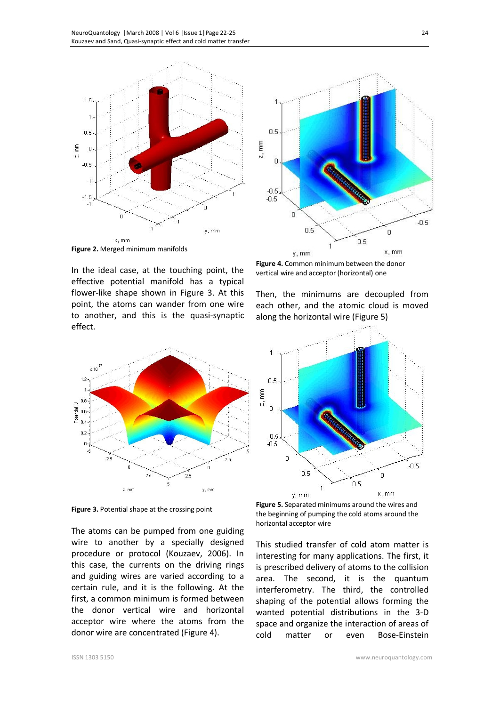



**Figure 2.** Merged minimum manifolds

In the ideal case, at the touching point, the effective potential manifold has a typical flower-like shape shown in Figure 3. At this point, the atoms can wander from one wire to another, and this is the quasi-synaptic effect.



**Figure 3.** Potential shape at the crossing point

The atoms can be pumped from one guiding wire to another by a specially designed procedure or protocol (Kouzaev, 2006). In this case, the currents on the driving rings and guiding wires are varied according to a certain rule, and it is the following. At the first, a common minimum is formed between the donor vertical wire and horizontal acceptor wire where the atoms from the donor wire are concentrated (Figure 4).

**Figure 4.** Common minimum between the donor vertical wire and acceptor (horizontal) one

Then, the minimums are decoupled from each other, and the atomic cloud is moved along the horizontal wire (Figure 5)



**Figure 5.** Separated minimums around the wires and the beginning of pumping the cold atoms around the horizontal acceptor wire

This studied transfer of cold atom matter is interesting for many applications. The first, it is prescribed delivery of atoms to the collision area. The second, it is the quantum interferometry. The third, the controlled shaping of the potential allows forming the wanted potential distributions in the 3-D space and organize the interaction of areas of cold matter or even Bose-Einstein